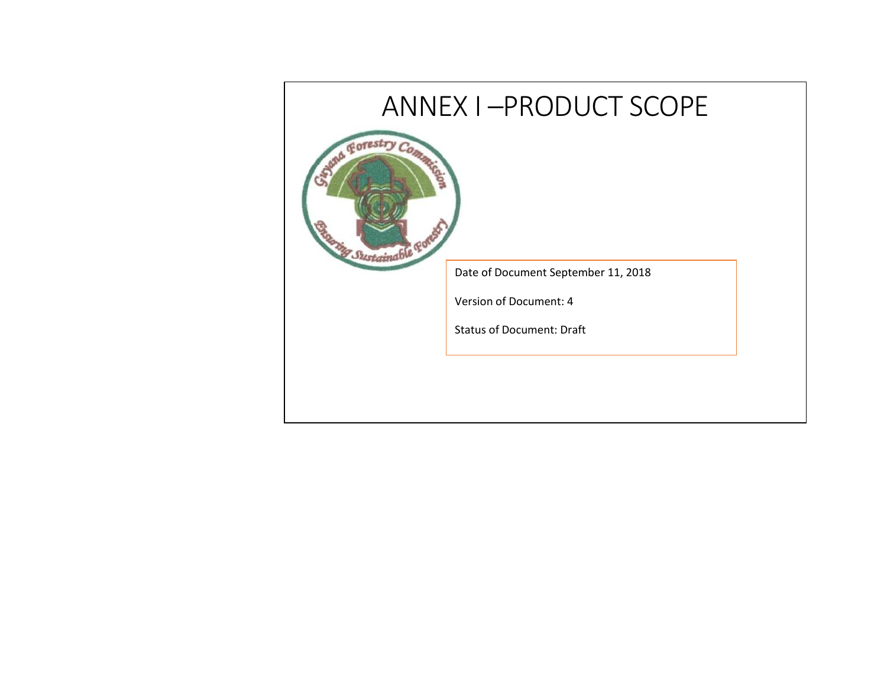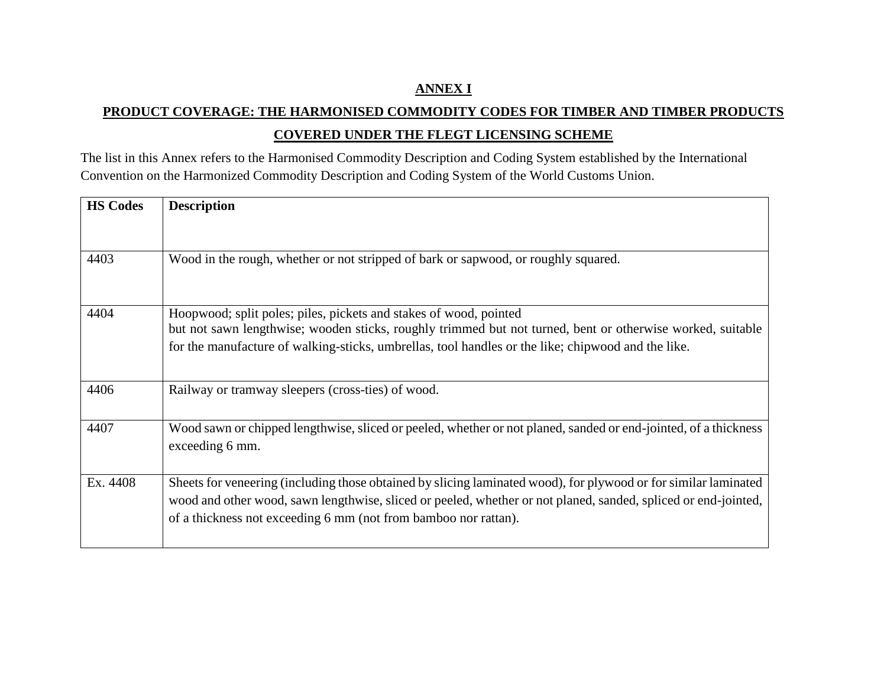## **ANNEX I**

## **PRODUCT COVERAGE: THE HARMONISED COMMODITY CODES FOR TIMBER AND TIMBER PRODUCTS COVERED UNDER THE FLEGT LICENSING SCHEME**

The list in this Annex refers to the Harmonised Commodity Description and Coding System established by the International Convention on the Harmonized Commodity Description and Coding System of the World Customs Union.

| <b>HS Codes</b> | <b>Description</b>                                                                                                                                                                                                                                                                                   |
|-----------------|------------------------------------------------------------------------------------------------------------------------------------------------------------------------------------------------------------------------------------------------------------------------------------------------------|
|                 |                                                                                                                                                                                                                                                                                                      |
| 4403            | Wood in the rough, whether or not stripped of bark or sapwood, or roughly squared.                                                                                                                                                                                                                   |
| 4404            | Hoopwood; split poles; piles, pickets and stakes of wood, pointed<br>but not sawn lengthwise; wooden sticks, roughly trimmed but not turned, bent or otherwise worked, suitable<br>for the manufacture of walking-sticks, umbrellas, tool handles or the like; chipwood and the like.                |
| 4406            | Railway or tramway sleepers (cross-ties) of wood.                                                                                                                                                                                                                                                    |
| 4407            | Wood sawn or chipped lengthwise, sliced or peeled, whether or not planed, sanded or end-jointed, of a thickness<br>exceeding 6 mm.                                                                                                                                                                   |
| Ex. 4408        | Sheets for veneering (including those obtained by slicing laminated wood), for plywood or for similar laminated<br>wood and other wood, sawn lengthwise, sliced or peeled, whether or not planed, sanded, spliced or end-jointed,<br>of a thickness not exceeding 6 mm (not from bamboo nor rattan). |